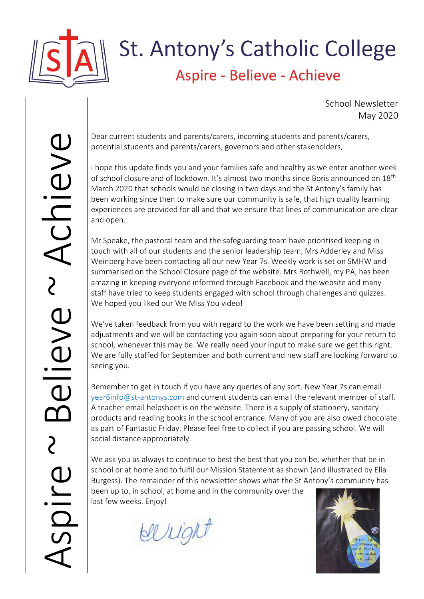

## St. Antony's Catholic College Aspire - Believe - Achieve

School Newsletter May 2020

Dear current students and parents/carers, incoming students and parents/carers, potential students and parents/carers, governors and other stakeholders,

I hope this update finds you and your families safe and healthy as we enter another week of school closure and of lockdown. It's almost two months since Boris announced on 18th March 2020 that schools would be closing in two days and the St Antony's family has been working since then to make sure our community is safe, that high quality learning experiences are provided for all and that we ensure that lines of communication are clear and open.

Mr Speake, the pastoral team and the safeguarding team have prioritised keeping in touch with all of our students and the senior leadership team, Mrs Adderley and Miss Weinberg have been contacting all our new Year 7s. Weekly work is set on SMHW and summarised on the School Closure page of the website. Mrs Rothwell, my PA, has been amazing in keeping everyone informed through Facebook and the website and many staff have tried to keep students engaged with school through challenges and quizzes. We hoped you liked our We Miss You video!

We've taken feedback from you with regard to the work we have been setting and made adjustments and we will be contacting you again soon about preparing for your return to school, whenever this may be. We really need your input to make sure we get this right. We are fully staffed for September and both current and new staff are looking forward to seeing you.

Remember to get in touch if you have any queries of any sort. New Year 7s can email [year6info@st-antonys.com](mailto:year6info@st-antonys.com) and current students can email the relevant member of staff. A teacher email helpsheet is on the website. There is a supply of stationery, sanitary products and reading books in the school entrance. Many of you are also owed chocolate as part of Fantastic Friday. Please feel free to collect if you are passing school. We will social distance appropriately.

We ask you as always to continue to best the best that you can be, whether that be in school or at home and to fulfil our Mission Statement as shown (and illustrated by Ella Burgess). The remainder of this newsletter shows what the St Antony's community has

been up to, in school, at home and in the community over the last few weeks. Enjoy!

belligh

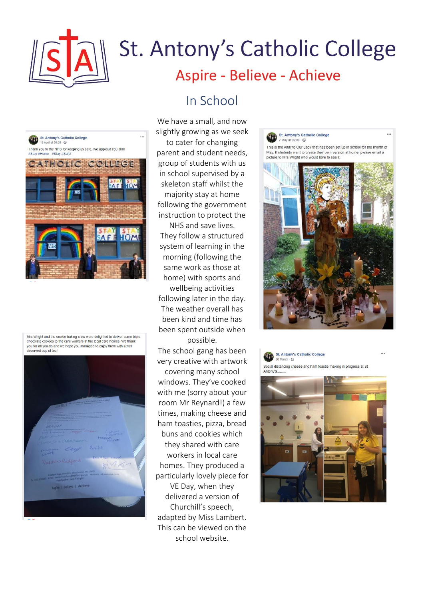

St. Antony's Catholic College

Thank you to the NHS for keeping us safe. We applaud you all!!!

CATHOLIC COLLEGE

HOM

HOM

AFF

16 April at 20:00 · C

#Home - #Stay #Safe

# St. Antony's Catholic College Aspire - Believe - Achieve

### In School

We have a small, and now slightly growing as we seek to cater for changing

parent and student needs, group of students with us in school supervised by a skeleton staff whilst the majority stay at home following the government instruction to protect the

NHS and save lives. They follow a structured system of learning in the morning (following the same work as those at home) with sports and wellbeing activities following later in the day. The weather overall has been kind and time has been spent outside when possible.

The school gang has been very creative with artwork

covering many school windows. They've cooked with me (sorry about your room Mr Reynard!) a few times, making cheese and ham toasties, pizza, bread buns and cookies which they shared with care workers in local care homes. They produced a particularly lovely piece for VE Day, when they delivered a version of Churchill's speech, adapted by Miss Lambert. This can be viewed on the school website.

#### St. Antony's Catholic College 7 May at 09:00 - © This is the Altar to Our Lady that has been set up in school for the month of May. If students want to create their own version at home, please email a picture to Mrs Wright who would love to see it.







Mrs Wright and the cookie baking crew were delighted to deliver some triple chocolate cookies to the care workers at the local care homes. We thank you for all you do and we hope you managed to enjoy them with a well deserved cup of teal

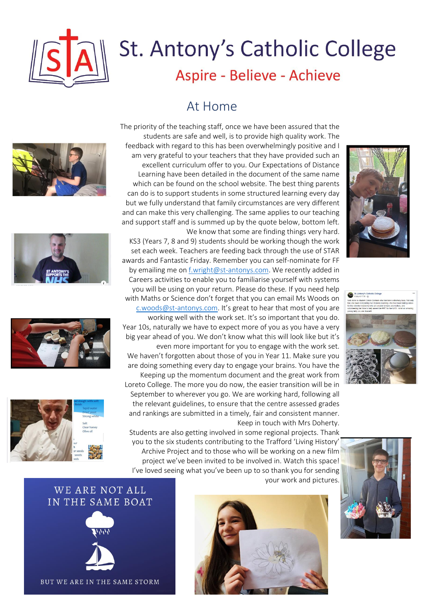

## ∥ St. Antony's Catholic College Aspire - Believe - Achieve

#### At Home









The priority of the teaching staff, once we have been assured that the students are safe and well, is to provide high quality work. The feedback with regard to this has been overwhelmingly positive and I am very grateful to your teachers that they have provided such an excellent curriculum offer to you. Our Expectations of Distance Learning have been detailed in the document of the same name which can be found on the school website. The best thing parents can do is to support students in some structured learning every day but we fully understand that family circumstances are very different and can make this very challenging. The same applies to our teaching and support staff and is summed up by the quote below, bottom left.

We know that some are finding things very hard. KS3 (Years 7, 8 and 9) students should be working though the work set each week. Teachers are feeding back through the use of STAR awards and Fantastic Friday. Remember you can self-nominate for FF by emailing me on [f.wright@st-antonys.com.](mailto:f.wright@st-antonys.com) We recently added in Careers activities to enable you to familiarise yourself with systems you will be using on your return. Please do these. If you need help with Maths or Science don't forget that you can email Ms Woods on [c.woods@st-antonys.com](mailto:c.woods@st-antonys.com). It's great to hear that most of you are working well with the work set. It's so important that you do. Year 10s, naturally we have to expect more of you as you have a very big year ahead of you. We don't know what this will look like but it's even more important for you to engage with the work set. We haven't forgotten about those of you in Year 11. Make sure you are doing something every day to engage your brains. You have the Keeping up the momentum document and the great work from Loreto College. The more you do now, the easier transition will be in September to wherever you go. We are working hard, following all the relevant guidelines, to ensure that the centre assessed grades and rankings are submitted in a timely, fair and consistent manner. Keep in touch with Mrs Doherty.

Students are also getting involved in some regional projects. Thank you to the six students contributing to the Trafford 'Living History' Archive Project and to those who will be working on a new film project we've been invited to be involved in. Watch this space! I've loved seeing what you've been up to so thank you for sending your work and pictures.









WE ARE NOT ALL IN THE SAME BOAT



BUT WE ARE IN THE SAME STORM